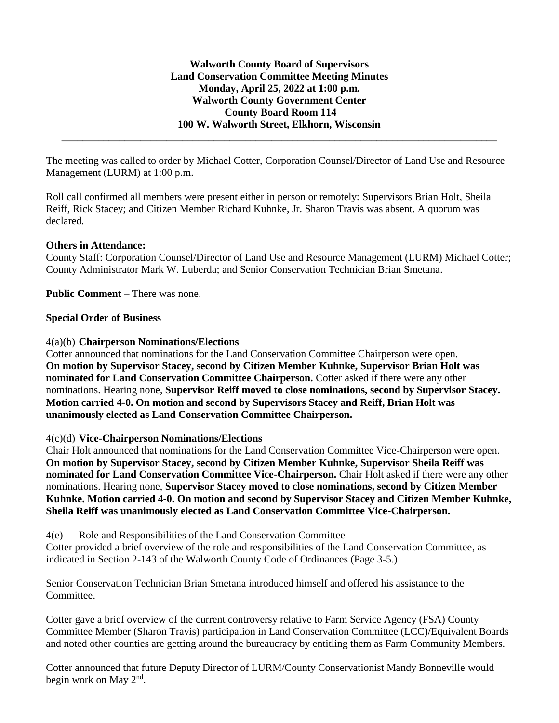**\_\_\_\_\_\_\_\_\_\_\_\_\_\_\_\_\_\_\_\_\_\_\_\_\_\_\_\_\_\_\_\_\_\_\_\_\_\_\_\_\_\_\_\_\_\_\_\_\_\_\_\_\_\_\_\_\_\_\_\_\_\_\_\_\_\_\_\_\_\_\_\_\_\_\_\_\_\_\_\_\_\_\_**

The meeting was called to order by Michael Cotter, Corporation Counsel/Director of Land Use and Resource Management (LURM) at 1:00 p.m.

Roll call confirmed all members were present either in person or remotely: Supervisors Brian Holt, Sheila Reiff, Rick Stacey; and Citizen Member Richard Kuhnke, Jr. Sharon Travis was absent. A quorum was declared.

# **Others in Attendance:**

County Staff: Corporation Counsel/Director of Land Use and Resource Management (LURM) Michael Cotter; County Administrator Mark W. Luberda; and Senior Conservation Technician Brian Smetana.

**Public Comment** – There was none.

## **Special Order of Business**

## 4(a)(b) **Chairperson Nominations/Elections**

Cotter announced that nominations for the Land Conservation Committee Chairperson were open. **On motion by Supervisor Stacey, second by Citizen Member Kuhnke, Supervisor Brian Holt was nominated for Land Conservation Committee Chairperson.** Cotter asked if there were any other nominations. Hearing none, **Supervisor Reiff moved to close nominations, second by Supervisor Stacey. Motion carried 4-0. On motion and second by Supervisors Stacey and Reiff, Brian Holt was unanimously elected as Land Conservation Committee Chairperson.**

#### 4(c)(d) **Vice-Chairperson Nominations/Elections**

Chair Holt announced that nominations for the Land Conservation Committee Vice-Chairperson were open. **On motion by Supervisor Stacey, second by Citizen Member Kuhnke, Supervisor Sheila Reiff was nominated for Land Conservation Committee Vice-Chairperson.** Chair Holt asked if there were any other nominations. Hearing none, **Supervisor Stacey moved to close nominations, second by Citizen Member Kuhnke. Motion carried 4-0. On motion and second by Supervisor Stacey and Citizen Member Kuhnke, Sheila Reiff was unanimously elected as Land Conservation Committee Vice-Chairperson.**

4(e) Role and Responsibilities of the Land Conservation Committee

Cotter provided a brief overview of the role and responsibilities of the Land Conservation Committee, as indicated in Section 2-143 of the Walworth County Code of Ordinances (Page 3-5.)

Senior Conservation Technician Brian Smetana introduced himself and offered his assistance to the Committee.

Cotter gave a brief overview of the current controversy relative to Farm Service Agency (FSA) County Committee Member (Sharon Travis) participation in Land Conservation Committee (LCC)/Equivalent Boards and noted other counties are getting around the bureaucracy by entitling them as Farm Community Members.

Cotter announced that future Deputy Director of LURM/County Conservationist Mandy Bonneville would begin work on May 2<sup>nd</sup>.